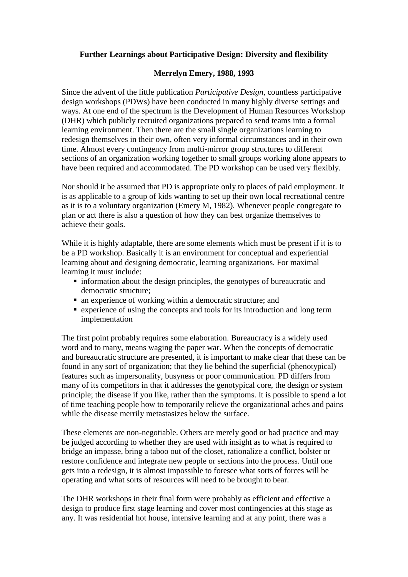# **Further Learnings about Participative Design: Diversity and flexibility**

### **Merrelyn Emery, 1988, 1993**

Since the advent of the little publication *Participative Design*, countless participative design workshops (PDWs) have been conducted in many highly diverse settings and ways. At one end of the spectrum is the Development of Human Resources Workshop (DHR) which publicly recruited organizations prepared to send teams into a formal learning environment. Then there are the small single organizations learning to redesign themselves in their own, often very informal circumstances and in their own time. Almost every contingency from multi-mirror group structures to different sections of an organization working together to small groups working alone appears to have been required and accommodated. The PD workshop can be used very flexibly.

Nor should it be assumed that PD is appropriate only to places of paid employment. It is as applicable to a group of kids wanting to set up their own local recreational centre as it is to a voluntary organization (Emery M, 1982). Whenever people congregate to plan or act there is also a question of how they can best organize themselves to achieve their goals.

While it is highly adaptable, there are some elements which must be present if it is to be a PD workshop. Basically it is an environment for conceptual and experiential learning about and designing democratic, learning organizations. For maximal learning it must include:

- information about the design principles, the genotypes of bureaucratic and democratic structure;
- an experience of working within a democratic structure; and
- experience of using the concepts and tools for its introduction and long term implementation

The first point probably requires some elaboration. Bureaucracy is a widely used word and to many, means waging the paper war. When the concepts of democratic and bureaucratic structure are presented, it is important to make clear that these can be found in any sort of organization; that they lie behind the superficial (phenotypical) features such as impersonality, busyness or poor communication. PD differs from many of its competitors in that it addresses the genotypical core, the design or system principle; the disease if you like, rather than the symptoms. It is possible to spend a lot of time teaching people how to temporarily relieve the organizational aches and pains while the disease merrily metastasizes below the surface.

These elements are non-negotiable. Others are merely good or bad practice and may be judged according to whether they are used with insight as to what is required to bridge an impasse, bring a taboo out of the closet, rationalize a conflict, bolster or restore confidence and integrate new people or sections into the process. Until one gets into a redesign, it is almost impossible to foresee what sorts of forces will be operating and what sorts of resources will need to be brought to bear.

The DHR workshops in their final form were probably as efficient and effective a design to produce first stage learning and cover most contingencies at this stage as any. It was residential hot house, intensive learning and at any point, there was a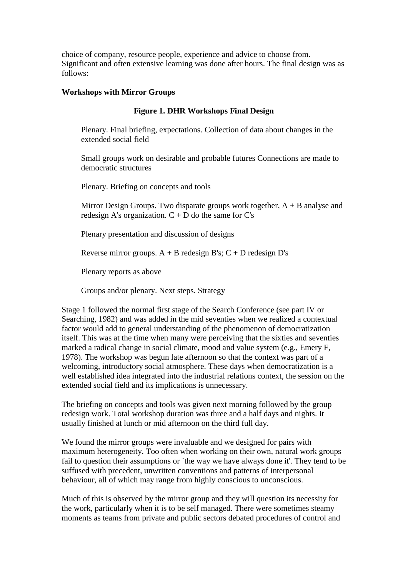choice of company, resource people, experience and advice to choose from. Significant and often extensive learning was done after hours. The final design was as follows:

### **Workshops with Mirror Groups**

### **Figure 1. DHR Workshops Final Design**

Plenary. Final briefing, expectations. Collection of data about changes in the extended social field

Small groups work on desirable and probable futures Connections are made to democratic structures

Plenary. Briefing on concepts and tools

Mirror Design Groups. Two disparate groups work together,  $A + B$  analyse and redesign A's organization.  $C + D$  do the same for C's

Plenary presentation and discussion of designs

Reverse mirror groups.  $A + B$  redesign B's;  $C + D$  redesign D's

Plenary reports as above

Groups and/or plenary. Next steps. Strategy

Stage 1 followed the normal first stage of the Search Conference (see part IV or Searching, 1982) and was added in the mid seventies when we realized a contextual factor would add to general understanding of the phenomenon of democratization itself. This was at the time when many were perceiving that the sixties and seventies marked a radical change in social climate, mood and value system (e.g., Emery F, 1978). The workshop was begun late afternoon so that the context was part of a welcoming, introductory social atmosphere. These days when democratization is a well established idea integrated into the industrial relations context, the session on the extended social field and its implications is unnecessary.

The briefing on concepts and tools was given next morning followed by the group redesign work. Total workshop duration was three and a half days and nights. It usually finished at lunch or mid afternoon on the third full day.

We found the mirror groups were invaluable and we designed for pairs with maximum heterogeneity. Too often when working on their own, natural work groups fail to question their assumptions or `the way we have always done it'. They tend to be suffused with precedent, unwritten conventions and patterns of interpersonal behaviour, all of which may range from highly conscious to unconscious.

Much of this is observed by the mirror group and they will question its necessity for the work, particularly when it is to be self managed. There were sometimes steamy moments as teams from private and public sectors debated procedures of control and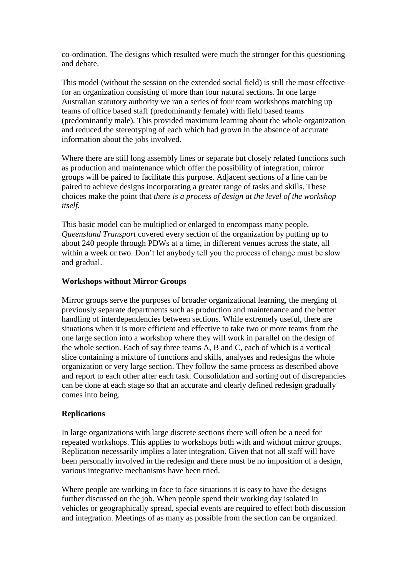co-ordination. The designs which resulted were much the stronger for this questioning and debate.

This model (without the session on the extended social field) is still the most effective for an organization consisting of more than four natural sections. In one large Australian statutory authority we ran a series of four team workshops matching up teams of office based staff (predominantly female) with field based teams (predominantly male). This provided maximum learning about the whole organization and reduced the stereotyping of each which had grown in the absence of accurate information about the jobs involved.

Where there are still long assembly lines or separate but closely related functions such as production and maintenance which offer the possibility of integration, mirror groups will be paired to facilitate this purpose. Adjacent sections of a line can be paired to achieve designs incorporating a greater range of tasks and skills. These choices make the point that *there is a process of design at the level of the workshop itself.*

This basic model can be multiplied or enlarged to encompass many people. *Queensland Transport* covered every section of the organization by putting up to about 240 people through PDWs at a time, in different venues across the state, all within a week or two. Don't let anybody tell you the process of change must be slow and gradual.

### **Workshops without Mirror Groups**

Mirror groups serve the purposes of broader organizational learning, the merging of previously separate departments such as production and maintenance and the better handling of interdependencies between sections. While extremely useful, there are situations when it is more efficient and effective to take two or more teams from the one large section into a workshop where they will work in parallel on the design of the whole section. Each of say three teams A, B and C, each of which is a vertical slice containing a mixture of functions and skills, analyses and redesigns the whole organization or very large section. They follow the same process as described above and report to each other after each task. Consolidation and sorting out of discrepancies can be done at each stage so that an accurate and clearly defined redesign gradually comes into being.

# **Replications**

In large organizations with large discrete sections there will often be a need for repeated workshops. This applies to workshops both with and without mirror groups. Replication necessarily implies a later integration. Given that not all staff will have been personally involved in the redesign and there must be no imposition of a design, various integrative mechanisms have been tried.

Where people are working in face to face situations it is easy to have the designs further discussed on the job. When people spend their working day isolated in vehicles or geographically spread, special events are required to effect both discussion and integration. Meetings of as many as possible from the section can be organized.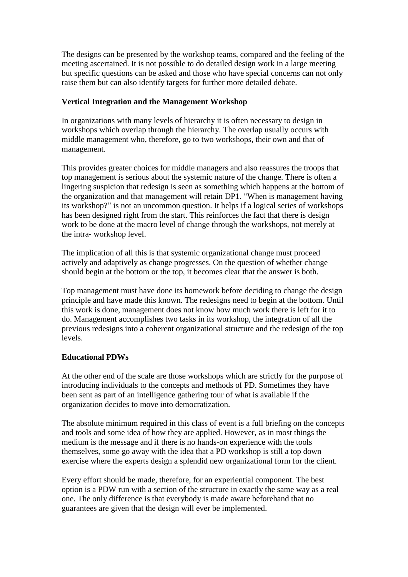The designs can be presented by the workshop teams, compared and the feeling of the meeting ascertained. It is not possible to do detailed design work in a large meeting but specific questions can be asked and those who have special concerns can not only raise them but can also identify targets for further more detailed debate.

### **Vertical Integration and the Management Workshop**

In organizations with many levels of hierarchy it is often necessary to design in workshops which overlap through the hierarchy. The overlap usually occurs with middle management who, therefore, go to two workshops, their own and that of management.

This provides greater choices for middle managers and also reassures the troops that top management is serious about the systemic nature of the change. There is often a lingering suspicion that redesign is seen as something which happens at the bottom of the organization and that management will retain DP1. "When is management having its workshop?" is not an uncommon question. It helps if a logical series of workshops has been designed right from the start. This reinforces the fact that there is design work to be done at the macro level of change through the workshops, not merely at the intra- workshop level.

The implication of all this is that systemic organizational change must proceed actively and adaptively as change progresses. On the question of whether change should begin at the bottom or the top, it becomes clear that the answer is both.

Top management must have done its homework before deciding to change the design principle and have made this known. The redesigns need to begin at the bottom. Until this work is done, management does not know how much work there is left for it to do. Management accomplishes two tasks in its workshop, the integration of all the previous redesigns into a coherent organizational structure and the redesign of the top levels.

# **Educational PDWs**

At the other end of the scale are those workshops which are strictly for the purpose of introducing individuals to the concepts and methods of PD. Sometimes they have been sent as part of an intelligence gathering tour of what is available if the organization decides to move into democratization.

The absolute minimum required in this class of event is a full briefing on the concepts and tools and some idea of how they are applied. However, as in most things the medium is the message and if there is no hands-on experience with the tools themselves, some go away with the idea that a PD workshop is still a top down exercise where the experts design a splendid new organizational form for the client.

Every effort should be made, therefore, for an experiential component. The best option is a PDW run with a section of the structure in exactly the same way as a real one. The only difference is that everybody is made aware beforehand that no guarantees are given that the design will ever be implemented.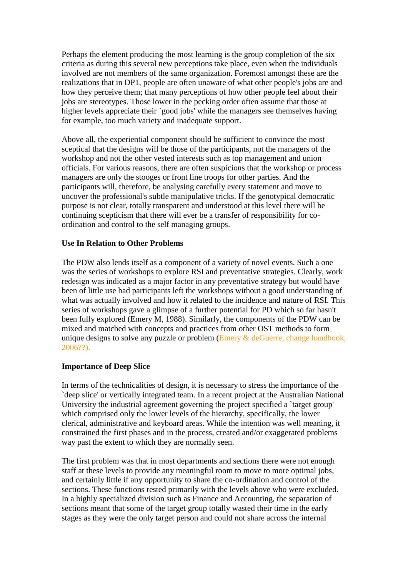Perhaps the element producing the most learning is the group completion of the six criteria as during this several new perceptions take place, even when the individuals involved are not members of the same organization. Foremost amongst these are the realizations that in DP1, people are often unaware of what other people's jobs are and how they perceive them; that many perceptions of how other people feel about their jobs are stereotypes. Those lower in the pecking order often assume that those at higher levels appreciate their `good jobs' while the managers see themselves having for example, too much variety and inadequate support.

Above all, the experiential component should be sufficient to convince the most sceptical that the designs will be those of the participants, not the managers of the workshop and not the other vested interests such as top management and union officials. For various reasons, there are often suspicions that the workshop or process managers are only the stooges or front line troops for other parties. And the participants will, therefore, be analysing carefully every statement and move to uncover the professional's subtle manipulative tricks. If the genotypical democratic purpose is not clear, totally transparent and understood at this level there will be continuing scepticism that there will ever be a transfer of responsibility for coordination and control to the self managing groups.

### **Use In Relation to Other Problems**

The PDW also lends itself as a component of a variety of novel events. Such a one was the series of workshops to explore RSI and preventative strategies. Clearly, work redesign was indicated as a major factor in any preventative strategy but would have been of little use had participants left the workshops without a good understanding of what was actually involved and how it related to the incidence and nature of RSI. This series of workshops gave a glimpse of a further potential for PD which so far hasn't been fully explored (Emery M, 1988). Similarly, the components of the PDW can be mixed and matched with concepts and practices from other OST methods to form unique designs to solve any puzzle or problem (Emery  $\&$  deGuerre, change handbook, 2006??).

#### **Importance of Deep Slice**

In terms of the technicalities of design, it is necessary to stress the importance of the `deep slice' or vertically integrated team. In a recent project at the Australian National University the industrial agreement governing the project specified a `target group' which comprised only the lower levels of the hierarchy, specifically, the lower clerical, administrative and keyboard areas. While the intention was well meaning, it constrained the first phases and in the process, created and/or exaggerated problems way past the extent to which they are normally seen.

The first problem was that in most departments and sections there were not enough staff at these levels to provide any meaningful room to move to more optimal jobs, and certainly little if any opportunity to share the co-ordination and control of the sections. These functions rested primarily with the levels above who were excluded. In a highly specialized division such as Finance and Accounting, the separation of sections meant that some of the target group totally wasted their time in the early stages as they were the only target person and could not share across the internal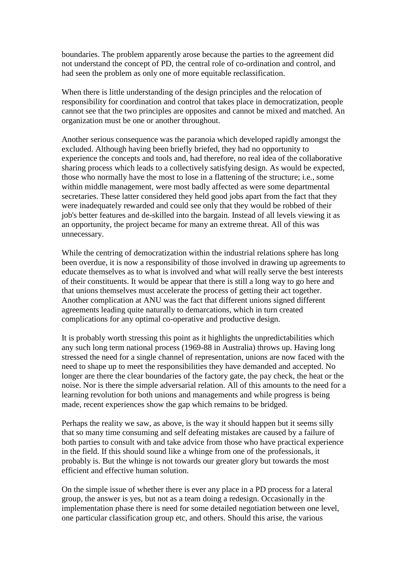boundaries. The problem apparently arose because the parties to the agreement did not understand the concept of PD, the central role of co-ordination and control, and had seen the problem as only one of more equitable reclassification.

When there is little understanding of the design principles and the relocation of responsibility for coordination and control that takes place in democratization, people cannot see that the two principles are opposites and cannot be mixed and matched. An organization must be one or another throughout.

Another serious consequence was the paranoia which developed rapidly amongst the excluded. Although having been briefly briefed, they had no opportunity to experience the concepts and tools and, had therefore, no real idea of the collaborative sharing process which leads to a collectively satisfying design. As would be expected, those who normally have the most to lose in a flattening of the structure; i.e., some within middle management, were most badly affected as were some departmental secretaries. These latter considered they held good jobs apart from the fact that they were inadequately rewarded and could see only that they would be robbed of their job's better features and de-skilled into the bargain. Instead of all levels viewing it as an opportunity, the project became for many an extreme threat. All of this was unnecessary.

While the centring of democratization within the industrial relations sphere has long been overdue, it is now a responsibility of those involved in drawing up agreements to educate themselves as to what is involved and what will really serve the best interests of their constituents. It would be appear that there is still a long way to go here and that unions themselves must accelerate the process of getting their act together. Another complication at ANU was the fact that different unions signed different agreements leading quite naturally to demarcations, which in turn created complications for any optimal co-operative and productive design.

It is probably worth stressing this point as it highlights the unpredictabilities which any such long term national process (1969-88 in Australia) throws up. Having long stressed the need for a single channel of representation, unions are now faced with the need to shape up to meet the responsibilities they have demanded and accepted. No longer are there the clear boundaries of the factory gate, the pay check, the heat or the noise. Nor is there the simple adversarial relation. All of this amounts to the need for a learning revolution for both unions and managements and while progress is being made, recent experiences show the gap which remains to be bridged.

Perhaps the reality we saw, as above, is the way it should happen but it seems silly that so many time consuming and self defeating mistakes are caused by a failure of both parties to consult with and take advice from those who have practical experience in the field. If this should sound like a whinge from one of the professionals, it probably is. But the whinge is not towards our greater glory but towards the most efficient and effective human solution.

On the simple issue of whether there is ever any place in a PD process for a lateral group, the answer is yes, but not as a team doing a redesign. Occasionally in the implementation phase there is need for some detailed negotiation between one level, one particular classification group etc, and others. Should this arise, the various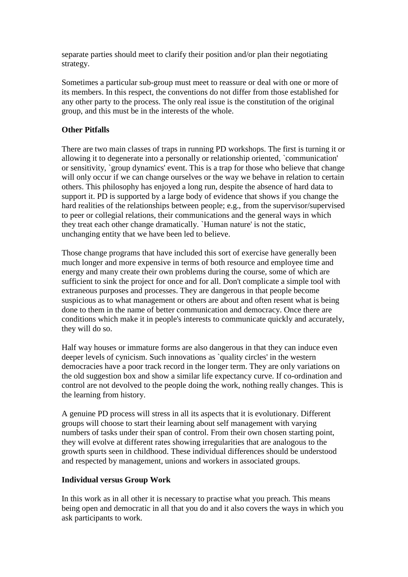separate parties should meet to clarify their position and/or plan their negotiating strategy.

Sometimes a particular sub-group must meet to reassure or deal with one or more of its members. In this respect, the conventions do not differ from those established for any other party to the process. The only real issue is the constitution of the original group, and this must be in the interests of the whole.

### **Other Pitfalls**

There are two main classes of traps in running PD workshops. The first is turning it or allowing it to degenerate into a personally or relationship oriented, `communication' or sensitivity, `group dynamics' event. This is a trap for those who believe that change will only occur if we can change ourselves or the way we behave in relation to certain others. This philosophy has enjoyed a long run, despite the absence of hard data to support it. PD is supported by a large body of evidence that shows if you change the hard realities of the relationships between people; e.g., from the supervisor/supervised to peer or collegial relations, their communications and the general ways in which they treat each other change dramatically. `Human nature' is not the static, unchanging entity that we have been led to believe.

Those change programs that have included this sort of exercise have generally been much longer and more expensive in terms of both resource and employee time and energy and many create their own problems during the course, some of which are sufficient to sink the project for once and for all. Don't complicate a simple tool with extraneous purposes and processes. They are dangerous in that people become suspicious as to what management or others are about and often resent what is being done to them in the name of better communication and democracy. Once there are conditions which make it in people's interests to communicate quickly and accurately, they will do so.

Half way houses or immature forms are also dangerous in that they can induce even deeper levels of cynicism. Such innovations as `quality circles' in the western democracies have a poor track record in the longer term. They are only variations on the old suggestion box and show a similar life expectancy curve. If co-ordination and control are not devolved to the people doing the work, nothing really changes. This is the learning from history.

A genuine PD process will stress in all its aspects that it is evolutionary. Different groups will choose to start their learning about self management with varying numbers of tasks under their span of control. From their own chosen starting point, they will evolve at different rates showing irregularities that are analogous to the growth spurts seen in childhood. These individual differences should be understood and respected by management, unions and workers in associated groups.

### **Individual versus Group Work**

In this work as in all other it is necessary to practise what you preach. This means being open and democratic in all that you do and it also covers the ways in which you ask participants to work.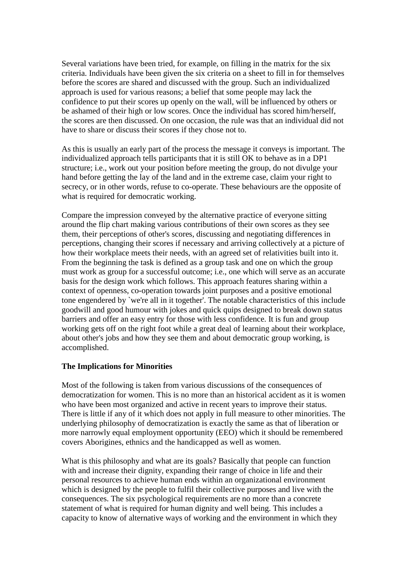Several variations have been tried, for example, on filling in the matrix for the six criteria. Individuals have been given the six criteria on a sheet to fill in for themselves before the scores are shared and discussed with the group. Such an individualized approach is used for various reasons; a belief that some people may lack the confidence to put their scores up openly on the wall, will be influenced by others or be ashamed of their high or low scores. Once the individual has scored him/herself, the scores are then discussed. On one occasion, the rule was that an individual did not have to share or discuss their scores if they chose not to.

As this is usually an early part of the process the message it conveys is important. The individualized approach tells participants that it is still OK to behave as in a DP1 structure; i.e., work out your position before meeting the group, do not divulge your hand before getting the lay of the land and in the extreme case, claim your right to secrecy, or in other words, refuse to co-operate. These behaviours are the opposite of what is required for democratic working.

Compare the impression conveyed by the alternative practice of everyone sitting around the flip chart making various contributions of their own scores as they see them, their perceptions of other's scores, discussing and negotiating differences in perceptions, changing their scores if necessary and arriving collectively at a picture of how their workplace meets their needs, with an agreed set of relativities built into it. From the beginning the task is defined as a group task and one on which the group must work as group for a successful outcome; i.e., one which will serve as an accurate basis for the design work which follows. This approach features sharing within a context of openness, co-operation towards joint purposes and a positive emotional tone engendered by `we're all in it together'. The notable characteristics of this include goodwill and good humour with jokes and quick quips designed to break down status barriers and offer an easy entry for those with less confidence. It is fun and group working gets off on the right foot while a great deal of learning about their workplace, about other's jobs and how they see them and about democratic group working, is accomplished.

### **The Implications for Minorities**

Most of the following is taken from various discussions of the consequences of democratization for women. This is no more than an historical accident as it is women who have been most organized and active in recent years to improve their status. There is little if any of it which does not apply in full measure to other minorities. The underlying philosophy of democratization is exactly the same as that of liberation or more narrowly equal employment opportunity (EEO) which it should be remembered covers Aborigines, ethnics and the handicapped as well as women.

What is this philosophy and what are its goals? Basically that people can function with and increase their dignity, expanding their range of choice in life and their personal resources to achieve human ends within an organizational environment which is designed by the people to fulfil their collective purposes and live with the consequences. The six psychological requirements are no more than a concrete statement of what is required for human dignity and well being. This includes a capacity to know of alternative ways of working and the environment in which they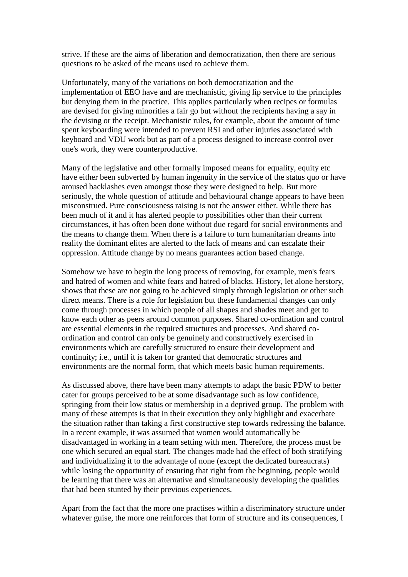strive. If these are the aims of liberation and democratization, then there are serious questions to be asked of the means used to achieve them.

Unfortunately, many of the variations on both democratization and the implementation of EEO have and are mechanistic, giving lip service to the principles but denying them in the practice. This applies particularly when recipes or formulas are devised for giving minorities a fair go but without the recipients having a say in the devising or the receipt. Mechanistic rules, for example, about the amount of time spent keyboarding were intended to prevent RSI and other injuries associated with keyboard and VDU work but as part of a process designed to increase control over one's work, they were counterproductive.

Many of the legislative and other formally imposed means for equality, equity etc have either been subverted by human ingenuity in the service of the status quo or have aroused backlashes even amongst those they were designed to help. But more seriously, the whole question of attitude and behavioural change appears to have been misconstrued. Pure consciousness raising is not the answer either. While there has been much of it and it has alerted people to possibilities other than their current circumstances, it has often been done without due regard for social environments and the means to change them. When there is a failure to turn humanitarian dreams into reality the dominant elites are alerted to the lack of means and can escalate their oppression. Attitude change by no means guarantees action based change.

Somehow we have to begin the long process of removing, for example, men's fears and hatred of women and white fears and hatred of blacks. History, let alone herstory, shows that these are not going to be achieved simply through legislation or other such direct means. There is a role for legislation but these fundamental changes can only come through processes in which people of all shapes and shades meet and get to know each other as peers around common purposes. Shared co-ordination and control are essential elements in the required structures and processes. And shared coordination and control can only be genuinely and constructively exercised in environments which are carefully structured to ensure their development and continuity; i.e., until it is taken for granted that democratic structures and environments are the normal form, that which meets basic human requirements.

As discussed above, there have been many attempts to adapt the basic PDW to better cater for groups perceived to be at some disadvantage such as low confidence, springing from their low status or membership in a deprived group. The problem with many of these attempts is that in their execution they only highlight and exacerbate the situation rather than taking a first constructive step towards redressing the balance. In a recent example, it was assumed that women would automatically be disadvantaged in working in a team setting with men. Therefore, the process must be one which secured an equal start. The changes made had the effect of both stratifying and individualizing it to the advantage of none (except the dedicated bureaucrats) while losing the opportunity of ensuring that right from the beginning, people would be learning that there was an alternative and simultaneously developing the qualities that had been stunted by their previous experiences.

Apart from the fact that the more one practises within a discriminatory structure under whatever guise, the more one reinforces that form of structure and its consequences, I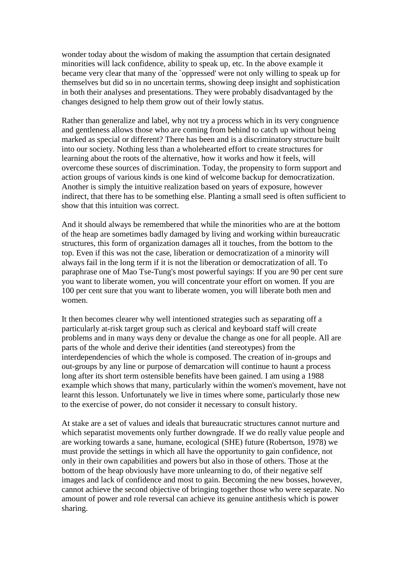wonder today about the wisdom of making the assumption that certain designated minorities will lack confidence, ability to speak up, etc. In the above example it became very clear that many of the `oppressed' were not only willing to speak up for themselves but did so in no uncertain terms, showing deep insight and sophistication in both their analyses and presentations. They were probably disadvantaged by the changes designed to help them grow out of their lowly status.

Rather than generalize and label, why not try a process which in its very congruence and gentleness allows those who are coming from behind to catch up without being marked as special or different? There has been and is a discriminatory structure built into our society. Nothing less than a wholehearted effort to create structures for learning about the roots of the alternative, how it works and how it feels, will overcome these sources of discrimination. Today, the propensity to form support and action groups of various kinds is one kind of welcome backup for democratization. Another is simply the intuitive realization based on years of exposure, however indirect, that there has to be something else. Planting a small seed is often sufficient to show that this intuition was correct.

And it should always be remembered that while the minorities who are at the bottom of the heap are sometimes badly damaged by living and working within bureaucratic structures, this form of organization damages all it touches, from the bottom to the top. Even if this was not the case, liberation or democratization of a minority will always fail in the long term if it is not the liberation or democratization of all. To paraphrase one of Mao Tse-Tung's most powerful sayings: If you are 90 per cent sure you want to liberate women, you will concentrate your effort on women. If you are 100 per cent sure that you want to liberate women, you will liberate both men and women.

It then becomes clearer why well intentioned strategies such as separating off a particularly at-risk target group such as clerical and keyboard staff will create problems and in many ways deny or devalue the change as one for all people. All are parts of the whole and derive their identities (and stereotypes) from the interdependencies of which the whole is composed. The creation of in-groups and out-groups by any line or purpose of demarcation will continue to haunt a process long after its short term ostensible benefits have been gained. I am using a 1988 example which shows that many, particularly within the women's movement, have not learnt this lesson. Unfortunately we live in times where some, particularly those new to the exercise of power, do not consider it necessary to consult history.

At stake are a set of values and ideals that bureaucratic structures cannot nurture and which separatist movements only further downgrade. If we do really value people and are working towards a sane, humane, ecological (SHE) future (Robertson, 1978) we must provide the settings in which all have the opportunity to gain confidence, not only in their own capabilities and powers but also in those of others. Those at the bottom of the heap obviously have more unlearning to do, of their negative self images and lack of confidence and most to gain. Becoming the new bosses, however, cannot achieve the second objective of bringing together those who were separate. No amount of power and role reversal can achieve its genuine antithesis which is power sharing.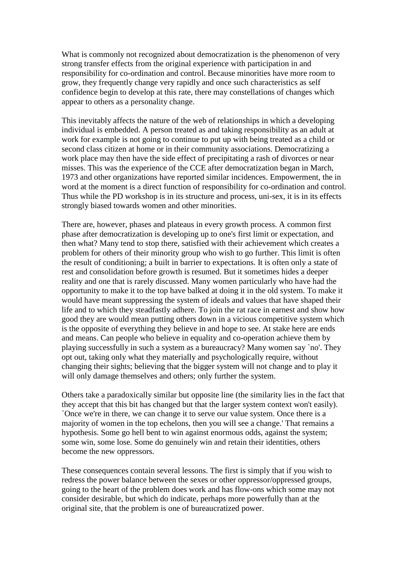What is commonly not recognized about democratization is the phenomenon of very strong transfer effects from the original experience with participation in and responsibility for co-ordination and control. Because minorities have more room to grow, they frequently change very rapidly and once such characteristics as self confidence begin to develop at this rate, there may constellations of changes which appear to others as a personality change.

This inevitably affects the nature of the web of relationships in which a developing individual is embedded. A person treated as and taking responsibility as an adult at work for example is not going to continue to put up with being treated as a child or second class citizen at home or in their community associations. Democratizing a work place may then have the side effect of precipitating a rash of divorces or near misses. This was the experience of the CCE after democratization began in March, 1973 and other organizations have reported similar incidences. Empowerment, the in word at the moment is a direct function of responsibility for co-ordination and control. Thus while the PD workshop is in its structure and process, uni-sex, it is in its effects strongly biased towards women and other minorities.

There are, however, phases and plateaus in every growth process. A common first phase after democratization is developing up to one's first limit or expectation, and then what? Many tend to stop there, satisfied with their achievement which creates a problem for others of their minority group who wish to go further. This limit is often the result of conditioning; a built in barrier to expectations. It is often only a state of rest and consolidation before growth is resumed. But it sometimes hides a deeper reality and one that is rarely discussed. Many women particularly who have had the opportunity to make it to the top have balked at doing it in the old system. To make it would have meant suppressing the system of ideals and values that have shaped their life and to which they steadfastly adhere. To join the rat race in earnest and show how good they are would mean putting others down in a vicious competitive system which is the opposite of everything they believe in and hope to see. At stake here are ends and means. Can people who believe in equality and co-operation achieve them by playing successfully in such a system as a bureaucracy? Many women say `no'. They opt out, taking only what they materially and psychologically require, without changing their sights; believing that the bigger system will not change and to play it will only damage themselves and others; only further the system.

Others take a paradoxically similar but opposite line (the similarity lies in the fact that they accept that this bit has changed but that the larger system context won't easily). `Once we're in there, we can change it to serve our value system. Once there is a majority of women in the top echelons, then you will see a change.' That remains a hypothesis. Some go hell bent to win against enormous odds, against the system; some win, some lose. Some do genuinely win and retain their identities, others become the new oppressors.

These consequences contain several lessons. The first is simply that if you wish to redress the power balance between the sexes or other oppressor/oppressed groups, going to the heart of the problem does work and has flow-ons which some may not consider desirable, but which do indicate, perhaps more powerfully than at the original site, that the problem is one of bureaucratized power.